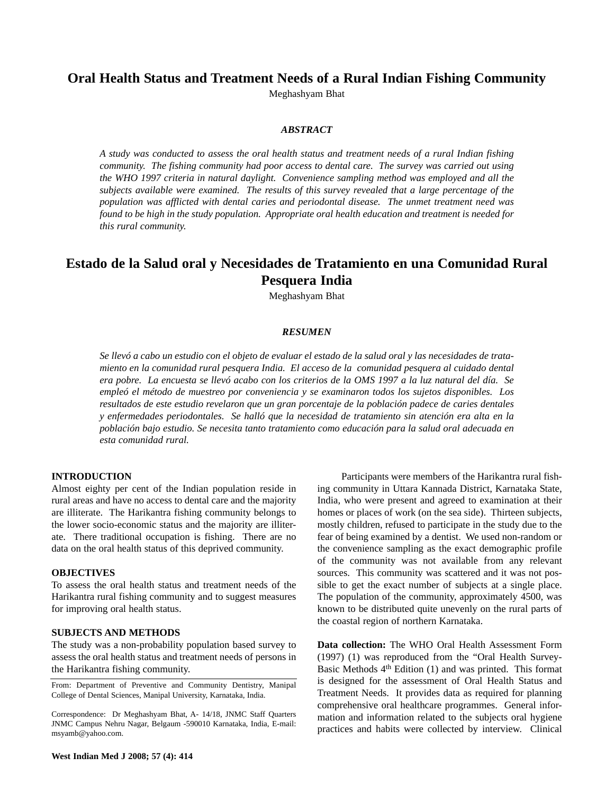# **Oral Health Status and Treatment Needs of a Rural Indian Fishing Community**

Meghashyam Bhat

# *ABSTRACT*

*A study was conducted to assess the oral health status and treatment needs of a rural Indian fishing community. The fishing community had poor access to dental care. The survey was carried out using the WHO 1997 criteria in natural daylight. Convenience sampling method was employed and all the subjects available were examined. The results of this survey revealed that a large percentage of the population was afflicted with dental caries and periodontal disease. The unmet treatment need was found to be high in the study population. Appropriate oral health education and treatment is needed for this rural community.*

# **Estado de la Salud oral y Necesidades de Tratamiento en una Comunidad Rural Pesquera India**

Meghashyam Bhat

# *RESUMEN*

*Se llevó a cabo un estudio con el objeto de evaluar el estado de la salud oral y las necesidades de tratamiento en la comunidad rural pesquera India. El acceso de la comunidad pesquera al cuidado dental era pobre. La encuesta se llevó acabo con los criterios de la OMS 1997 a la luz natural del día. Se empleó el método de muestreo por conveniencia y se examinaron todos los sujetos disponibles. Los resultados de este estudio revelaron que un gran porcentaje de la población padece de caries dentales y enfermedades periodontales. Se halló que la necesidad de tratamiento sin atención era alta en la población bajo estudio. Se necesita tanto tratamiento como educación para la salud oral adecuada en esta comunidad rural.*

#### **INTRODUCTION**

Almost eighty per cent of the Indian population reside in rural areas and have no access to dental care and the majority are illiterate. The Harikantra fishing community belongs to the lower socio-economic status and the majority are illiterate. There traditional occupation is fishing. There are no data on the oral health status of this deprived community.

### **OBJECTIVES**

To assess the oral health status and treatment needs of the Harikantra rural fishing community and to suggest measures for improving oral health status.

#### **SUBJECTS AND METHODS**

The study was a non-probability population based survey to assess the oral health status and treatment needs of persons in the Harikantra fishing community.

From: Department of Preventive and Community Dentistry, Manipal College of Dental Sciences, Manipal University, Karnataka, India.

Correspondence: Dr Meghashyam Bhat, A- 14/18, JNMC Staff Quarters JNMC Campus Nehru Nagar, Belgaum -590010 Karnataka, India, E-mail: msyamb@yahoo.com.

Participants were members of the Harikantra rural fishing community in Uttara Kannada District, Karnataka State, India, who were present and agreed to examination at their homes or places of work (on the sea side). Thirteen subjects, mostly children, refused to participate in the study due to the fear of being examined by a dentist. We used non-random or the convenience sampling as the exact demographic profile of the community was not available from any relevant sources. This community was scattered and it was not possible to get the exact number of subjects at a single place. The population of the community, approximately 4500, was known to be distributed quite unevenly on the rural parts of the coastal region of northern Karnataka.

**Data collection:** The WHO Oral Health Assessment Form (1997) (1) was reproduced from the "Oral Health Survey-Basic Methods 4th Edition (1) and was printed. This format is designed for the assessment of Oral Health Status and Treatment Needs. It provides data as required for planning comprehensive oral healthcare programmes. General information and information related to the subjects oral hygiene practices and habits were collected by interview. Clinical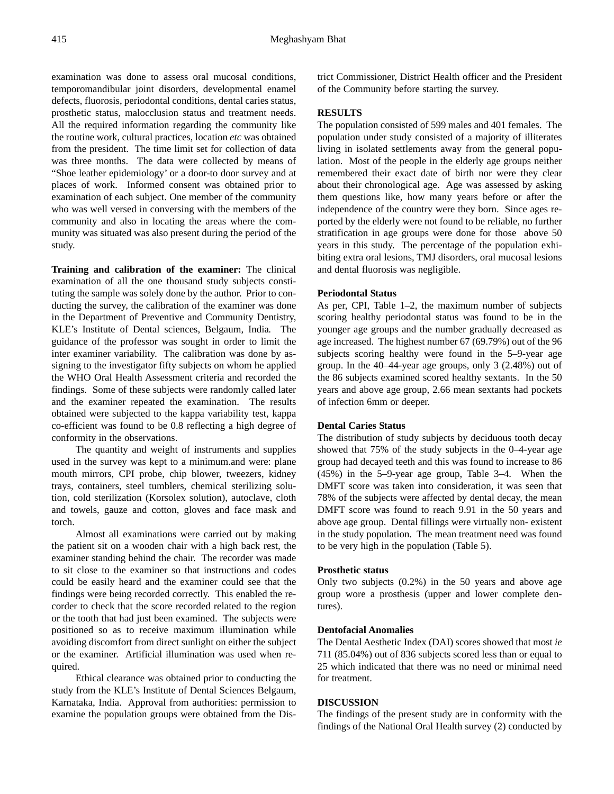examination was done to assess oral mucosal conditions, temporomandibular joint disorders, developmental enamel defects, fluorosis, periodontal conditions, dental caries status, prosthetic status, malocclusion status and treatment needs. All the required information regarding the community like the routine work, cultural practices, location *etc* was obtained from the president. The time limit set for collection of data was three months. The data were collected by means of "Shoe leather epidemiology' or a door-to door survey and at places of work. Informed consent was obtained prior to examination of each subject. One member of the community who was well versed in conversing with the members of the community and also in locating the areas where the community was situated was also present during the period of the study.

**Training and calibration of the examiner:** The clinical examination of all the one thousand study subjects constituting the sample was solely done by the author. Prior to conducting the survey, the calibration of the examiner was done in the Department of Preventive and Community Dentistry, KLE's Institute of Dental sciences, Belgaum, India*.* The guidance of the professor was sought in order to limit the inter examiner variability. The calibration was done by assigning to the investigator fifty subjects on whom he applied the WHO Oral Health Assessment criteria and recorded the findings. Some of these subjects were randomly called later and the examiner repeated the examination. The results obtained were subjected to the kappa variability test, kappa co-efficient was found to be 0.8 reflecting a high degree of conformity in the observations.

The quantity and weight of instruments and supplies used in the survey was kept to a minimum.and were: plane mouth mirrors, CPI probe, chip blower, tweezers, kidney trays, containers, steel tumblers, chemical sterilizing solution, cold sterilization (Korsolex solution), autoclave, cloth and towels, gauze and cotton, gloves and face mask and torch.

Almost all examinations were carried out by making the patient sit on a wooden chair with a high back rest, the examiner standing behind the chair. The recorder was made to sit close to the examiner so that instructions and codes could be easily heard and the examiner could see that the findings were being recorded correctly. This enabled the recorder to check that the score recorded related to the region or the tooth that had just been examined. The subjects were positioned so as to receive maximum illumination while avoiding discomfort from direct sunlight on either the subject or the examiner. Artificial illumination was used when required.

Ethical clearance was obtained prior to conducting the study from the KLE's Institute of Dental Sciences Belgaum, Karnataka, India. Approval from authorities: permission to examine the population groups were obtained from the District Commissioner, District Health officer and the President of the Community before starting the survey.

#### **RESULTS**

The population consisted of 599 males and 401 females. The population under study consisted of a majority of illiterates living in isolated settlements away from the general population. Most of the people in the elderly age groups neither remembered their exact date of birth nor were they clear about their chronological age. Age was assessed by asking them questions like, how many years before or after the independence of the country were they born. Since ages reported by the elderly were not found to be reliable, no further stratification in age groups were done for those above 50 years in this study. The percentage of the population exhibiting extra oral lesions, TMJ disorders, oral mucosal lesions and dental fluorosis was negligible.

#### **Periodontal Status**

As per, CPI, Table 1–2, the maximum number of subjects scoring healthy periodontal status was found to be in the younger age groups and the number gradually decreased as age increased. The highest number 67 (69.79%) out of the 96 subjects scoring healthy were found in the 5–9-year age group. In the 40–44-year age groups, only 3 (2.48%) out of the 86 subjects examined scored healthy sextants. In the 50 years and above age group, 2.66 mean sextants had pockets of infection 6mm or deeper.

#### **Dental Caries Status**

The distribution of study subjects by deciduous tooth decay showed that 75% of the study subjects in the 0–4-year age group had decayed teeth and this was found to increase to 86 (45%) in the 5–9-year age group, Table 3–4. When the DMFT score was taken into consideration, it was seen that 78% of the subjects were affected by dental decay, the mean DMFT score was found to reach 9.91 in the 50 years and above age group. Dental fillings were virtually non- existent in the study population. The mean treatment need was found to be very high in the population (Table 5).

#### **Prosthetic status**

Only two subjects (0.2%) in the 50 years and above age group wore a prosthesis (upper and lower complete dentures).

# **Dentofacial Anomalies**

The Dental Aesthetic Index (DAI) scores showed that most *ie* 711 (85.04%) out of 836 subjects scored less than or equal to 25 which indicated that there was no need or minimal need for treatment.

# **DISCUSSION**

The findings of the present study are in conformity with the findings of the National Oral Health survey (2) conducted by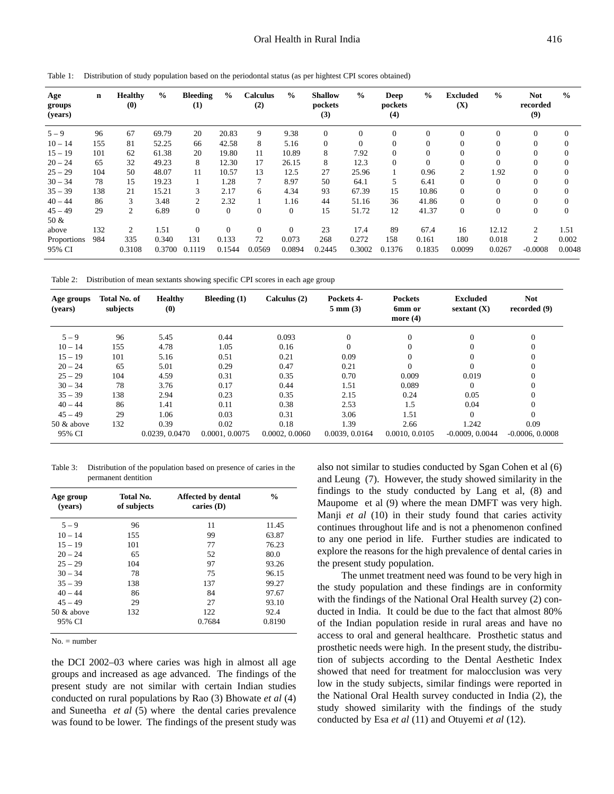| Age<br>groups<br>(years) | $\mathbf n$ | <b>Healthy</b><br>(0) | $\frac{0}{0}$ | <b>Bleeding</b><br>(1) | $\frac{6}{9}$ | <b>Calculus</b><br>(2) | $\frac{0}{0}$  | <b>Shallow</b><br>pockets<br>(3) | $\frac{6}{9}$ | Deep<br>pockets<br>(4) | $\frac{6}{9}$ | <b>Excluded</b><br>(X) | $\frac{0}{0}$ | <b>Not</b><br>recorded<br>(9) | $\frac{0}{0}$ |
|--------------------------|-------------|-----------------------|---------------|------------------------|---------------|------------------------|----------------|----------------------------------|---------------|------------------------|---------------|------------------------|---------------|-------------------------------|---------------|
| $5 - 9$                  | 96          | 67                    | 69.79         | 20                     | 20.83         | 9                      | 9.38           | $\overline{0}$                   |               | $\mathbf{0}$           | $\theta$      | $\overline{0}$         | $\Omega$      | $\mathbf{0}$                  |               |
| $10 - 14$                | 155         | 81                    | 52.25         | 66                     | 42.58         | 8                      | 5.16           | $\theta$                         | $\Omega$      | $\mathbf{0}$           | $\Omega$      | $\overline{0}$         | $\mathbf{0}$  | $\theta$                      |               |
| $15 - 19$                | 101         | 62                    | 61.38         | 20                     | 19.80         | 11                     | 10.89          | 8                                | 7.92          | $\mathbf{0}$           | $\Omega$      | $\mathbf{0}$           | $\mathbf{0}$  | $\theta$                      | $\Omega$      |
| $20 - 24$                | 65          | 32                    | 49.23         | 8                      | 12.30         | 17                     | 26.15          | 8                                | 12.3          | $\theta$               | $\Omega$      | $\overline{0}$         | $\Omega$      | $\mathbf{0}$                  | $\theta$      |
| $25 - 29$                | 104         | 50                    | 48.07         | 11                     | 10.57         | 13                     | 12.5           | 27                               | 25.96         |                        | 0.96          | 2                      | 1.92          | $\mathbf{0}$                  | $\theta$      |
| $30 - 34$                | 78          | 15                    | 19.23         |                        | 1.28          | $\overline{7}$         | 8.97           | 50                               | 64.1          | 5                      | 6.41          | $\overline{0}$         | $\Omega$      | $\Omega$                      |               |
| $35 - 39$                | 138         | 21                    | 15.21         | 3                      | 2.17          | 6                      | 4.34           | 93                               | 67.39         | 15                     | 10.86         | $\overline{0}$         | $\Omega$      | $\Omega$                      |               |
| $40 - 44$                | 86          | 3                     | 3.48          | 2                      | 2.32          |                        | 1.16           | 44                               | 51.16         | 36                     | 41.86         | $\overline{0}$         | $\Omega$      | $\Omega$                      |               |
| $45 - 49$                | 29          | 2                     | 6.89          | $\overline{0}$         | $\theta$      | $\overline{0}$         | $\overline{0}$ | 15                               | 51.72         | 12                     | 41.37         | $\boldsymbol{0}$       | $\theta$      | $\theta$                      | $\Omega$      |
| 50 &                     |             |                       |               |                        |               |                        |                |                                  |               |                        |               |                        |               |                               |               |
| above                    | 132         | 2                     | 1.51          | $\overline{0}$         | $\Omega$      | $\overline{0}$         | $\theta$       | 23                               | 17.4          | 89                     | 67.4          | 16                     | 12.12         | $\overline{2}$                | 1.51          |
| Proportions              | 984         | 335                   | 0.340         | 131                    | 0.133         | 72                     | 0.073          | 268                              | 0.272         | 158                    | 0.161         | 180                    | 0.018         | 2                             | 0.002         |
| 95% CI                   |             | 0.3108                | 0.3700        | 0.1119                 | 0.1544        | 0.0569                 | 0.0894         | 0.2445                           | 0.3002        | 0.1376                 | 0.1835        | 0.0099                 | 0.0267        | $-0.0008$                     | 0.0048        |

Table 1: Distribution of study population based on the periodontal status (as per hightest CPI scores obtained)

Table 2: Distribution of mean sextants showing specific CPI scores in each age group

| Age groups<br>(years) | Total No. of<br>subjects | <b>Healthy</b><br>(0) | Bleeding $(1)$ | Calculus (2)   | Pockets 4-<br>$5 \text{ mm} (3)$ | <b>Pockets</b><br>6mm or<br>more $(4)$ | <b>Excluded</b><br>sextant $(X)$ | <b>Not</b><br>recorded $(9)$ |
|-----------------------|--------------------------|-----------------------|----------------|----------------|----------------------------------|----------------------------------------|----------------------------------|------------------------------|
| $5 - 9$               | 96                       | 5.45                  | 0.44           | 0.093          | $\theta$                         | $\overline{0}$                         | $\Omega$                         | $\boldsymbol{0}$             |
| $10 - 14$             | 155                      | 4.78                  | 1.05           | 0.16           | $\Omega$                         | 0                                      |                                  | $\Omega$                     |
| $15 - 19$             | 101                      | 5.16                  | 0.51           | 0.21           | 0.09                             | $\overline{0}$                         |                                  | 0                            |
| $20 - 24$             | 65                       | 5.01                  | 0.29           | 0.47           | 0.21                             | $\Omega$                               |                                  | $\Omega$                     |
| $25 - 29$             | 104                      | 4.59                  | 0.31           | 0.35           | 0.70                             | 0.009                                  | 0.019                            | $\Omega$                     |
| $30 - 34$             | 78                       | 3.76                  | 0.17           | 0.44           | 1.51                             | 0.089                                  |                                  | 0                            |
| $35 - 39$             | 138                      | 2.94                  | 0.23           | 0.35           | 2.15                             | 0.24                                   | 0.05                             | $\mathbf{0}$                 |
| $40 - 44$             | 86                       | 1.41                  | 0.11           | 0.38           | 2.53                             | 1.5                                    | 0.04                             | $\Omega$                     |
| $45 - 49$             | 29                       | 1.06                  | 0.03           | 0.31           | 3.06                             | 1.51                                   |                                  | $\Omega$                     |
| 50 & above            | 132                      | 0.39                  | 0.02           | 0.18           | 1.39                             | 2.66                                   | 1.242                            | 0.09                         |
| 95% CI                |                          | 0.0239, 0.0470        | 0.0001, 0.0075 | 0.0002, 0.0060 | 0.0039, 0.0164                   | 0.0010, 0.0105                         | $-0.0009, 0.0044$                | $-0.0006, 0.0008$            |

Table 3: Distribution of the population based on presence of caries in the permanent dentition

| Age group<br>(vears) | Total No.<br>of subjects | <b>Affected by dental</b><br>caries $(D)$ | $\frac{0}{0}$ |
|----------------------|--------------------------|-------------------------------------------|---------------|
| $5 - 9$              | 96                       | 11                                        | 11.45         |
| $10 - 14$            | 155                      | 99                                        | 63.87         |
| $15 - 19$            | 101                      | 77                                        | 76.23         |
| $20 - 24$            | 65                       | 52                                        | 80.0          |
| $25 - 29$            | 104                      | 97                                        | 93.26         |
| $30 - 34$            | 78                       | 75                                        | 96.15         |
| $35 - 39$            | 138                      | 137                                       | 99.27         |
| $40 - 44$            | 86                       | 84                                        | 97.67         |
| $45 - 49$            | 29                       | 27                                        | 93.10         |
| $50 \&$ above        | 132                      | 122                                       | 92.4          |
| 95% CI               |                          | 0.7684                                    | 0.8190        |

No. = number

the DCI 2002–03 where caries was high in almost all age groups and increased as age advanced. The findings of the present study are not similar with certain Indian studies conducted on rural populations by Rao (3) Bhowate *et al* (4) and Suneetha *et al* (5) where the dental caries prevalence was found to be lower. The findings of the present study was also not similar to studies conducted by Sgan Cohen et al (6) and Leung (7). However, the study showed similarity in the findings to the study conducted by Lang et al, (8) and Maupome et al (9) where the mean DMFT was very high. Manji *et al* (10) in their study found that caries activity continues throughout life and is not a phenomenon confined to any one period in life. Further studies are indicated to explore the reasons for the high prevalence of dental caries in the present study population.

The unmet treatment need was found to be very high in the study population and these findings are in conformity with the findings of the National Oral Health survey (2) conducted in India. It could be due to the fact that almost 80% of the Indian population reside in rural areas and have no access to oral and general healthcare. Prosthetic status and prosthetic needs were high. In the present study, the distribution of subjects according to the Dental Aesthetic Index showed that need for treatment for malocclusion was very low in the study subjects, similar findings were reported in the National Oral Health survey conducted in India (2), the study showed similarity with the findings of the study conducted by Esa *et al* (11) and Otuyemi *et al* (12).